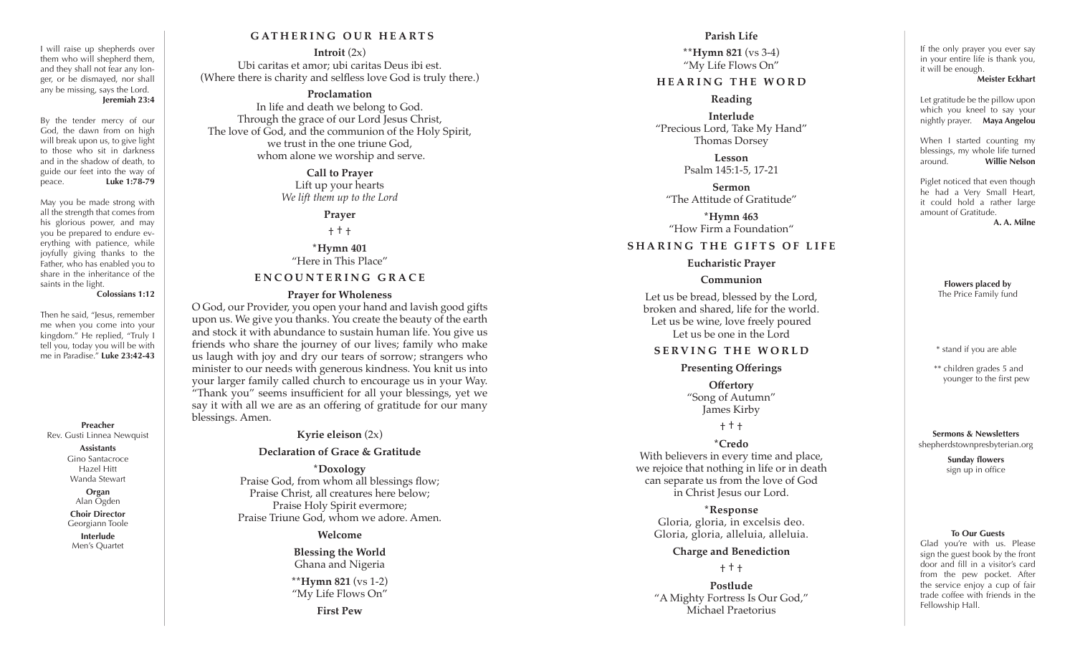## **GATHERING OUR HEARTS**

**Introit** (2x) Ubi caritas et amor; ubi caritas Deus ibi est. (Where there is charity and selfless love God is truly there.)

## **Proclamation**

In life and death we belong to God. Through the grace of our Lord Jesus Christ, The love of God, and the communion of the Holy Spirit, we trust in the one triune God, whom alone we worship and serve.

> **Call to Prayer** Lift up your hearts *We lift them up to the Lord*

> > **Prayer**

† † †

**\*Hymn 401** "Here in This Place"

## **ENCOUNTERING GRACE**

#### **Prayer for Wholeness**

O God, our Provider, you open your hand and lavish good gifts upon us. We give you thanks. You create the beauty of the earth and stock it with abundance to sustain human life. You give us friends who share the journey of our lives; family who make us laugh with joy and dry our tears of sorrow; strangers who minister to our needs with generous kindness. You knit us into your larger family called church to encourage us in your Way. "Thank you" seems insufficient for all your blessings, yet we say it with all we are as an offering of gratitude for our many blessings. Amen.

**Kyrie eleison** (2x)

**Preacher** Rev. Gusti Linnea Newquist **Assistants** Gino Santacroce Hazel Hitt Wanda Stewart **Organ** Alan Ogden **Choir Director** Georgiann Toole **Interlude** Men's Quartet

Then he said, "Jesus, remember me when you come into your kingdom." He replied, "Truly I tell you, today you will be with me in Paradise." **Luke 23:42-43**

saints in the light.

I will raise up shepherds over them who will shepherd them, and they shall not fear any lon ger, or be dismayed, nor shall any be missing, says the Lord.

By the tender mercy of our God, the dawn from on high will break upon us, to give light to those who sit in darkness and in the shadow of death, to guide our feet into the way of peace. **Luke 1:78-79** May you be made strong with all the strength that comes from his glorious power, and may you be prepared to endure ev erything with patience, while joyfully giving thanks to the Father, who has enabled you to share in the inheritance of the

**Jeremiah 23:4**

**Colossians 1:12**

### **Declaration of Grace & Gratitude**

**\*Doxology** Praise God, from whom all blessings flow; Praise Christ, all creatures here below; Praise Holy Spirit evermore; Praise Triune God, whom we adore. Amen.

**Welcome**

## **Blessing the World** Ghana and Nigeria

**\*\*Hymn 821** (vs 1-2) "My Life Flows On"

**First Pew**

## **Parish Life**

**\*\*Hymn 821** (vs 3-4) "My Life Flows On"

## **HEARING THE WORD**

#### **Reading**

**Interlude** "Precious Lord, Take My Hand" Thomas Dorsey

> **Lesson** Psalm 145:1-5, 17-21

**Sermon** "The Attitude of Gratitude"

**\*Hymn 463** "How Firm a Foundation"

### **SHARING THE GIFTS OF LIFE**

**Eucharistic Prayer**

## **Communion**

Let us be bread, blessed by the Lord, broken and shared, life for the world. Let us be wine, love freely poured Let us be one in the Lord

## **SERVING THE WORLD**

**Presenting Offerings Offertory**

"Song of Autumn" James Kirby

† † †

## **\*Credo**

With believers in every time and place, we rejoice that nothing in life or in death can separate us from the love of God in Christ Jesus our Lord.

**\*Response** Gloria, gloria, in excelsis deo. Gloria, gloria, alleluia, alleluia.

### **Charge and Benediction**

† † †

**Postlude** "A Mighty Fortress Is Our God," Michael Praetorius

If the only prayer you ever say in your entire life is thank you, it will be enough. **Meister Eckhart**

Let gratitude be the pillow upon which you kneel to say your nightly prayer. **Maya Angelou**

When I started counting my blessings, my whole life turned around. **Willie Nelson**

Piglet noticed that even though he had a Very Small Heart, it could hold a rather large amount of Gratitude. **A. A. Milne**

> **Flowers placed by** The Price Family fund

> \* stand if you are able

\*\* children grades 5 and younger to the first pew

**Sermons & Newsletters** shepherdstownpresbyterian.org

> **Sunday flowers** sign up in office

#### **To Our Guests**

Glad you're with us. Please sign the guest book by the front door and fill in a visitor's card from the pew pocket. After the service enjoy a cup of fair trade coffee with friends in the Fellowship Hall.